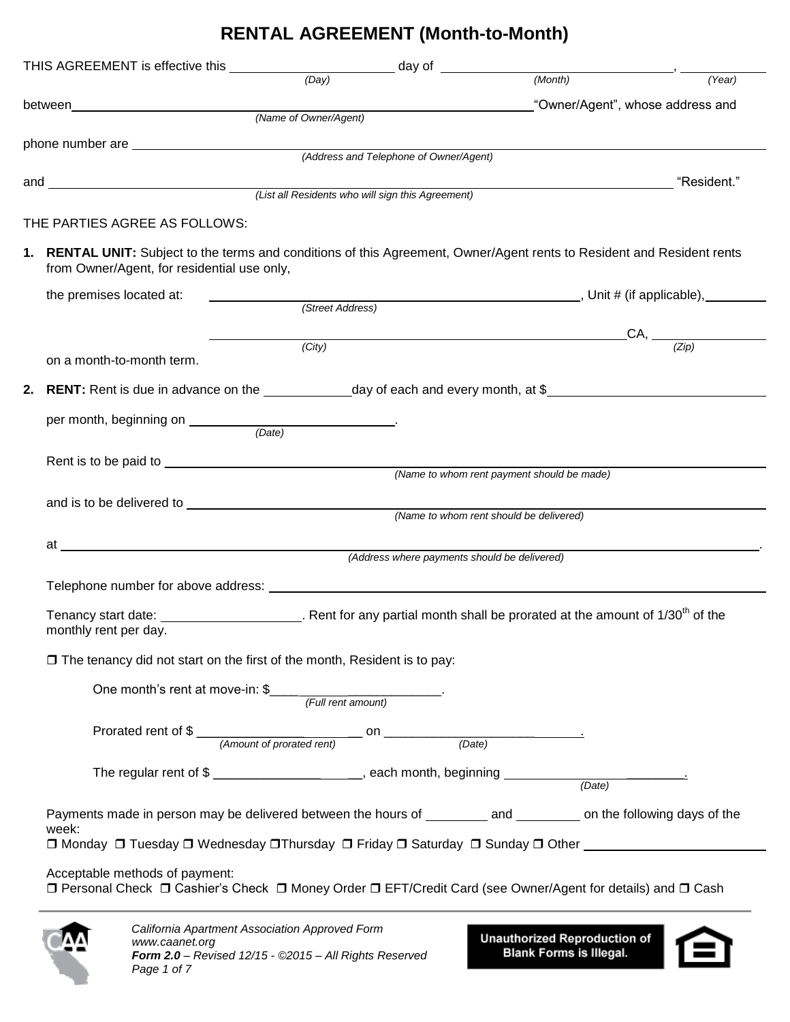## **RENTAL AGREEMENT (Month-to-Month)**

| (Name of Owner/Agent)                       | THIS AGREEMENT is effective this $\frac{(Day)}{(Day)}$ day of $\frac{1}{(Month)}$<br>"Owner/Agent", whose address and                               | (Year)                                                                                                                                                                                                                                                                                                                                                                                                                                                                                                                                                                                                                                                                                                                                                                                                                                                                                                                                                                                                                                                                       |
|---------------------------------------------|-----------------------------------------------------------------------------------------------------------------------------------------------------|------------------------------------------------------------------------------------------------------------------------------------------------------------------------------------------------------------------------------------------------------------------------------------------------------------------------------------------------------------------------------------------------------------------------------------------------------------------------------------------------------------------------------------------------------------------------------------------------------------------------------------------------------------------------------------------------------------------------------------------------------------------------------------------------------------------------------------------------------------------------------------------------------------------------------------------------------------------------------------------------------------------------------------------------------------------------------|
|                                             |                                                                                                                                                     |                                                                                                                                                                                                                                                                                                                                                                                                                                                                                                                                                                                                                                                                                                                                                                                                                                                                                                                                                                                                                                                                              |
|                                             |                                                                                                                                                     |                                                                                                                                                                                                                                                                                                                                                                                                                                                                                                                                                                                                                                                                                                                                                                                                                                                                                                                                                                                                                                                                              |
|                                             |                                                                                                                                                     |                                                                                                                                                                                                                                                                                                                                                                                                                                                                                                                                                                                                                                                                                                                                                                                                                                                                                                                                                                                                                                                                              |
|                                             |                                                                                                                                                     |                                                                                                                                                                                                                                                                                                                                                                                                                                                                                                                                                                                                                                                                                                                                                                                                                                                                                                                                                                                                                                                                              |
|                                             |                                                                                                                                                     |                                                                                                                                                                                                                                                                                                                                                                                                                                                                                                                                                                                                                                                                                                                                                                                                                                                                                                                                                                                                                                                                              |
|                                             |                                                                                                                                                     |                                                                                                                                                                                                                                                                                                                                                                                                                                                                                                                                                                                                                                                                                                                                                                                                                                                                                                                                                                                                                                                                              |
| from Owner/Agent, for residential use only, | 1. RENTAL UNIT: Subject to the terms and conditions of this Agreement, Owner/Agent rents to Resident and Resident rents                             |                                                                                                                                                                                                                                                                                                                                                                                                                                                                                                                                                                                                                                                                                                                                                                                                                                                                                                                                                                                                                                                                              |
|                                             |                                                                                                                                                     |                                                                                                                                                                                                                                                                                                                                                                                                                                                                                                                                                                                                                                                                                                                                                                                                                                                                                                                                                                                                                                                                              |
|                                             |                                                                                                                                                     |                                                                                                                                                                                                                                                                                                                                                                                                                                                                                                                                                                                                                                                                                                                                                                                                                                                                                                                                                                                                                                                                              |
| (City)                                      |                                                                                                                                                     | $\_CA$ , $\frac{Zip}{)}$                                                                                                                                                                                                                                                                                                                                                                                                                                                                                                                                                                                                                                                                                                                                                                                                                                                                                                                                                                                                                                                     |
|                                             |                                                                                                                                                     |                                                                                                                                                                                                                                                                                                                                                                                                                                                                                                                                                                                                                                                                                                                                                                                                                                                                                                                                                                                                                                                                              |
|                                             |                                                                                                                                                     |                                                                                                                                                                                                                                                                                                                                                                                                                                                                                                                                                                                                                                                                                                                                                                                                                                                                                                                                                                                                                                                                              |
|                                             |                                                                                                                                                     |                                                                                                                                                                                                                                                                                                                                                                                                                                                                                                                                                                                                                                                                                                                                                                                                                                                                                                                                                                                                                                                                              |
|                                             |                                                                                                                                                     |                                                                                                                                                                                                                                                                                                                                                                                                                                                                                                                                                                                                                                                                                                                                                                                                                                                                                                                                                                                                                                                                              |
|                                             |                                                                                                                                                     |                                                                                                                                                                                                                                                                                                                                                                                                                                                                                                                                                                                                                                                                                                                                                                                                                                                                                                                                                                                                                                                                              |
|                                             |                                                                                                                                                     |                                                                                                                                                                                                                                                                                                                                                                                                                                                                                                                                                                                                                                                                                                                                                                                                                                                                                                                                                                                                                                                                              |
|                                             |                                                                                                                                                     |                                                                                                                                                                                                                                                                                                                                                                                                                                                                                                                                                                                                                                                                                                                                                                                                                                                                                                                                                                                                                                                                              |
|                                             |                                                                                                                                                     |                                                                                                                                                                                                                                                                                                                                                                                                                                                                                                                                                                                                                                                                                                                                                                                                                                                                                                                                                                                                                                                                              |
|                                             |                                                                                                                                                     |                                                                                                                                                                                                                                                                                                                                                                                                                                                                                                                                                                                                                                                                                                                                                                                                                                                                                                                                                                                                                                                                              |
|                                             |                                                                                                                                                     |                                                                                                                                                                                                                                                                                                                                                                                                                                                                                                                                                                                                                                                                                                                                                                                                                                                                                                                                                                                                                                                                              |
|                                             |                                                                                                                                                     |                                                                                                                                                                                                                                                                                                                                                                                                                                                                                                                                                                                                                                                                                                                                                                                                                                                                                                                                                                                                                                                                              |
|                                             |                                                                                                                                                     |                                                                                                                                                                                                                                                                                                                                                                                                                                                                                                                                                                                                                                                                                                                                                                                                                                                                                                                                                                                                                                                                              |
|                                             |                                                                                                                                                     |                                                                                                                                                                                                                                                                                                                                                                                                                                                                                                                                                                                                                                                                                                                                                                                                                                                                                                                                                                                                                                                                              |
|                                             |                                                                                                                                                     |                                                                                                                                                                                                                                                                                                                                                                                                                                                                                                                                                                                                                                                                                                                                                                                                                                                                                                                                                                                                                                                                              |
|                                             |                                                                                                                                                     |                                                                                                                                                                                                                                                                                                                                                                                                                                                                                                                                                                                                                                                                                                                                                                                                                                                                                                                                                                                                                                                                              |
|                                             |                                                                                                                                                     |                                                                                                                                                                                                                                                                                                                                                                                                                                                                                                                                                                                                                                                                                                                                                                                                                                                                                                                                                                                                                                                                              |
|                                             |                                                                                                                                                     |                                                                                                                                                                                                                                                                                                                                                                                                                                                                                                                                                                                                                                                                                                                                                                                                                                                                                                                                                                                                                                                                              |
|                                             | (Street Address)<br><u> 1989 - Johann Stein, fransk politik (d. 1989)</u><br>One month's rent at move-in: $\frac{m}{2}$ [ <i>Full rent amount</i> ) | <u> 1989 - Johann Barn, mars ann an t-Amhain an t-Amhain an t-Amhain an t-Amhain an t-Amhain an t-Amhain an t-Amh</u><br>2. RENT: Rent is due in advance on the _______________day of each and every month, at \$_____________<br>(Name to whom rent payment should be made)<br>(Name to whom rent should be delivered)<br>(Address where payments should be delivered)<br>Tenancy start date: $\frac{1}{30}$ CM $\frac{1}{30}$ CM $\frac{1}{30}$ CM $\frac{1}{30}$ CM $\frac{1}{30}$ CM $\frac{1}{30}$ CM $\frac{1}{30}$ CM $\frac{1}{30}$ CM $\frac{1}{30}$ CM $\frac{1}{30}$ CM $\frac{1}{30}$ CM $\frac{1}{30}$ CM $\frac{1}{30}$ CM $\frac{1}{30}$ CM $\frac{1$<br>$\Box$ The tenancy did not start on the first of the month, Resident is to pay:<br>Payments made in person may be delivered between the hours of ________ and ________ on the following days of the<br>□ Monday □ Tuesday □ Wednesday □ Thursday □ Friday □ Saturday □ Sunday □ Other<br>□ Personal Check □ Cashier's Check □ Money Order □ EFT/Credit Card (see Owner/Agent for details) and □ Cash |



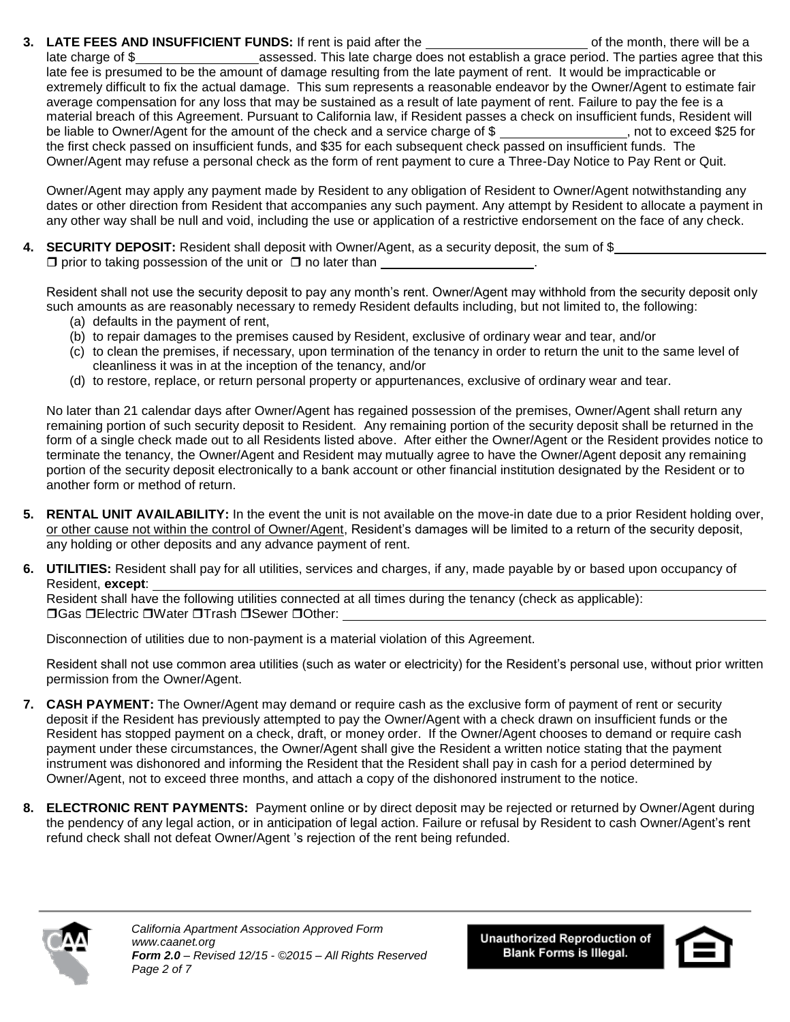**3.** LATE FEES AND INSUFFICIENT FUNDS: If rent is paid after the of the month, there will be a

late charge of \$ late fee is presumed to be the amount of damage resulting from the late payment of rent. It would be impracticable or extremely difficult to fix the actual damage. This sum represents a reasonable endeavor by the Owner/Agent to estimate fair average compensation for any loss that may be sustained as a result of late payment of rent. Failure to pay the fee is a material breach of this Agreement. Pursuant to California law, if Resident passes a check on insufficient funds, Resident will be liable to Owner/Agent for the amount of the check and a service charge of \$ , not to exceed \$25 for the first check passed on insufficient funds, and \$35 for each subsequent check passed on insufficient funds. The Owner/Agent may refuse a personal check as the form of rent payment to cure a Three-Day Notice to Pay Rent or Quit.

Owner/Agent may apply any payment made by Resident to any obligation of Resident to Owner/Agent notwithstanding any dates or other direction from Resident that accompanies any such payment. Any attempt by Resident to allocate a payment in any other way shall be null and void, including the use or application of a restrictive endorsement on the face of any check.

**4. SECURITY DEPOSIT:** Resident shall deposit with Owner/Agent, as a security deposit, the sum of \$  $\Box$  prior to taking possession of the unit or  $\Box$  no later than

Resident shall not use the security deposit to pay any month's rent. Owner/Agent may withhold from the security deposit only such amounts as are reasonably necessary to remedy Resident defaults including, but not limited to, the following:

- (a) defaults in the payment of rent,
- (b) to repair damages to the premises caused by Resident, exclusive of ordinary wear and tear, and/or
- (c) to clean the premises, if necessary, upon termination of the tenancy in order to return the unit to the same level of cleanliness it was in at the inception of the tenancy, and/or
- (d) to restore, replace, or return personal property or appurtenances, exclusive of ordinary wear and tear.

No later than 21 calendar days after Owner/Agent has regained possession of the premises, Owner/Agent shall return any remaining portion of such security deposit to Resident. Any remaining portion of the security deposit shall be returned in the form of a single check made out to all Residents listed above. After either the Owner/Agent or the Resident provides notice to terminate the tenancy, the Owner/Agent and Resident may mutually agree to have the Owner/Agent deposit any remaining portion of the security deposit electronically to a bank account or other financial institution designated by the Resident or to another form or method of return.

- **5. RENTAL UNIT AVAILABILITY:** In the event the unit is not available on the move-in date due to a prior Resident holding over, or other cause not within the control of Owner/Agent, Resident's damages will be limited to a return of the security deposit, any holding or other deposits and any advance payment of rent.
- **6. UTILITIES:** Resident shall pay for all utilities, services and charges, if any, made payable by or based upon occupancy of Resident, **except**:

Resident shall have the following utilities connected at all times during the tenancy (check as applicable): **□Gas □Electric □Water □Trash □Sewer □Other:** 

Disconnection of utilities due to non-payment is a material violation of this Agreement.

Resident shall not use common area utilities (such as water or electricity) for the Resident's personal use, without prior written permission from the Owner/Agent.

- **7. CASH PAYMENT:** The Owner/Agent may demand or require cash as the exclusive form of payment of rent or security deposit if the Resident has previously attempted to pay the Owner/Agent with a check drawn on insufficient funds or the Resident has stopped payment on a check, draft, or money order. If the Owner/Agent chooses to demand or require cash payment under these circumstances, the Owner/Agent shall give the Resident a written notice stating that the payment instrument was dishonored and informing the Resident that the Resident shall pay in cash for a period determined by Owner/Agent, not to exceed three months, and attach a copy of the dishonored instrument to the notice.
- **8. ELECTRONIC RENT PAYMENTS:** Payment online or by direct deposit may be rejected or returned by Owner/Agent during the pendency of any legal action, or in anticipation of legal action. Failure or refusal by Resident to cash Owner/Agent's rent refund check shall not defeat Owner/Agent 's rejection of the rent being refunded.



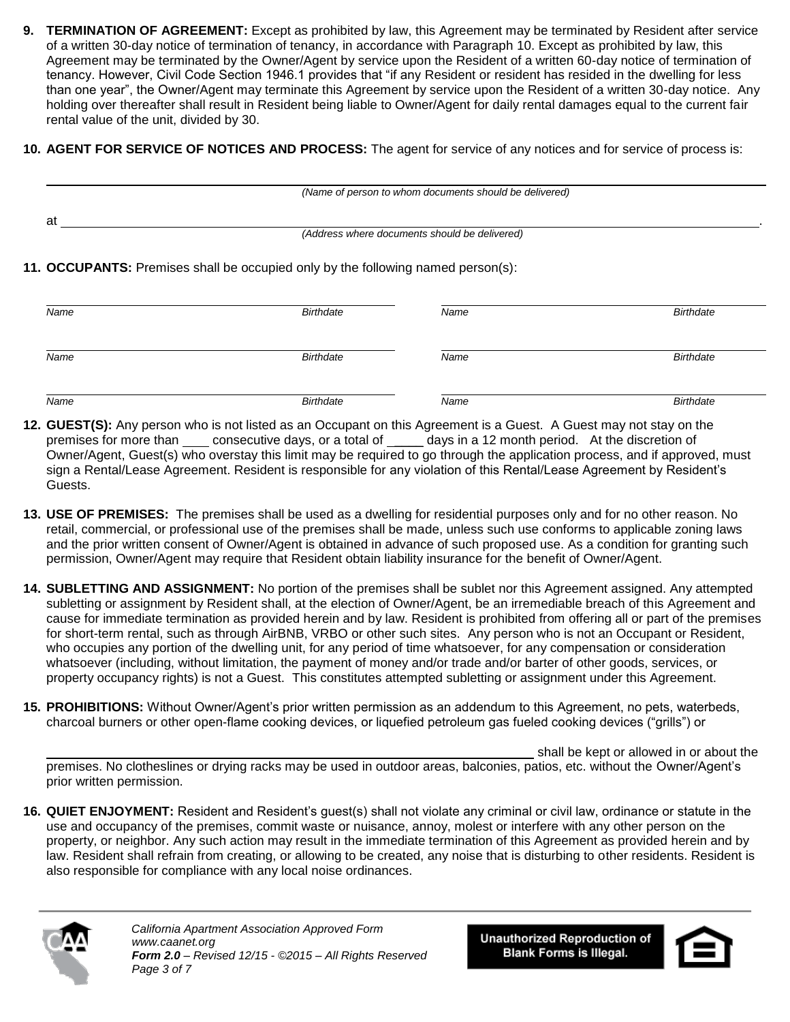- **9. TERMINATION OF AGREEMENT:** Except as prohibited by law, this Agreement may be terminated by Resident after service of a written 30-day notice of termination of tenancy, in accordance with Paragraph 10. Except as prohibited by law, this Agreement may be terminated by the Owner/Agent by service upon the Resident of a written 60-day notice of termination of tenancy. However, Civil Code Section 1946.1 provides that "if any Resident or resident has resided in the dwelling for less than one year", the Owner/Agent may terminate this Agreement by service upon the Resident of a written 30-day notice. Any holding over thereafter shall result in Resident being liable to Owner/Agent for daily rental damages equal to the current fair rental value of the unit, divided by 30.
- **10. AGENT FOR SERVICE OF NOTICES AND PROCESS:** The agent for service of any notices and for service of process is:

|    | (Name of person to whom documents should be delivered) |  |
|----|--------------------------------------------------------|--|
| at |                                                        |  |
|    | (Address where documents should be delivered)          |  |
|    |                                                        |  |

**11. OCCUPANTS:** Premises shall be occupied only by the following named person(s):

| Name | Birthdate        | Name | Birthdate        |
|------|------------------|------|------------------|
| Name | Birthdate        | Name | <b>Birthdate</b> |
| Name | <b>Birthdate</b> | Name | <b>Birthdate</b> |

- **12. GUEST(S):** Any person who is not listed as an Occupant on this Agreement is a Guest. A Guest may not stay on the premises for more than \_\_\_\_ consecutive days, or a total of \_\_\_\_\_ days in a 12 month period. At the discretion of Owner/Agent, Guest(s) who overstay this limit may be required to go through the application process, and if approved, must sign a Rental/Lease Agreement. Resident is responsible for any violation of this Rental/Lease Agreement by Resident's Guests.
- **13. USE OF PREMISES:** The premises shall be used as a dwelling for residential purposes only and for no other reason. No retail, commercial, or professional use of the premises shall be made, unless such use conforms to applicable zoning laws and the prior written consent of Owner/Agent is obtained in advance of such proposed use. As a condition for granting such permission, Owner/Agent may require that Resident obtain liability insurance for the benefit of Owner/Agent.
- **14. SUBLETTING AND ASSIGNMENT:** No portion of the premises shall be sublet nor this Agreement assigned. Any attempted subletting or assignment by Resident shall, at the election of Owner/Agent, be an irremediable breach of this Agreement and cause for immediate termination as provided herein and by law. Resident is prohibited from offering all or part of the premises for short-term rental, such as through AirBNB, VRBO or other such sites. Any person who is not an Occupant or Resident, who occupies any portion of the dwelling unit, for any period of time whatsoever, for any compensation or consideration whatsoever (including, without limitation, the payment of money and/or trade and/or barter of other goods, services, or property occupancy rights) is not a Guest. This constitutes attempted subletting or assignment under this Agreement.
- **15. PROHIBITIONS:** Without Owner/Agent's prior written permission as an addendum to this Agreement, no pets, waterbeds, charcoal burners or other open-flame cooking devices, or liquefied petroleum gas fueled cooking devices ("grills") or

shall be kept or allowed in or about the premises. No clotheslines or drying racks may be used in outdoor areas, balconies, patios, etc. without the Owner/Agent's prior written permission.

**16. QUIET ENJOYMENT:** Resident and Resident's guest(s) shall not violate any criminal or civil law, ordinance or statute in the use and occupancy of the premises, commit waste or nuisance, annoy, molest or interfere with any other person on the property, or neighbor. Any such action may result in the immediate termination of this Agreement as provided herein and by law. Resident shall refrain from creating, or allowing to be created, any noise that is disturbing to other residents. Resident is also responsible for compliance with any local noise ordinances.



**Unauthorized Reproduction of Blank Forms is Illegal.** 

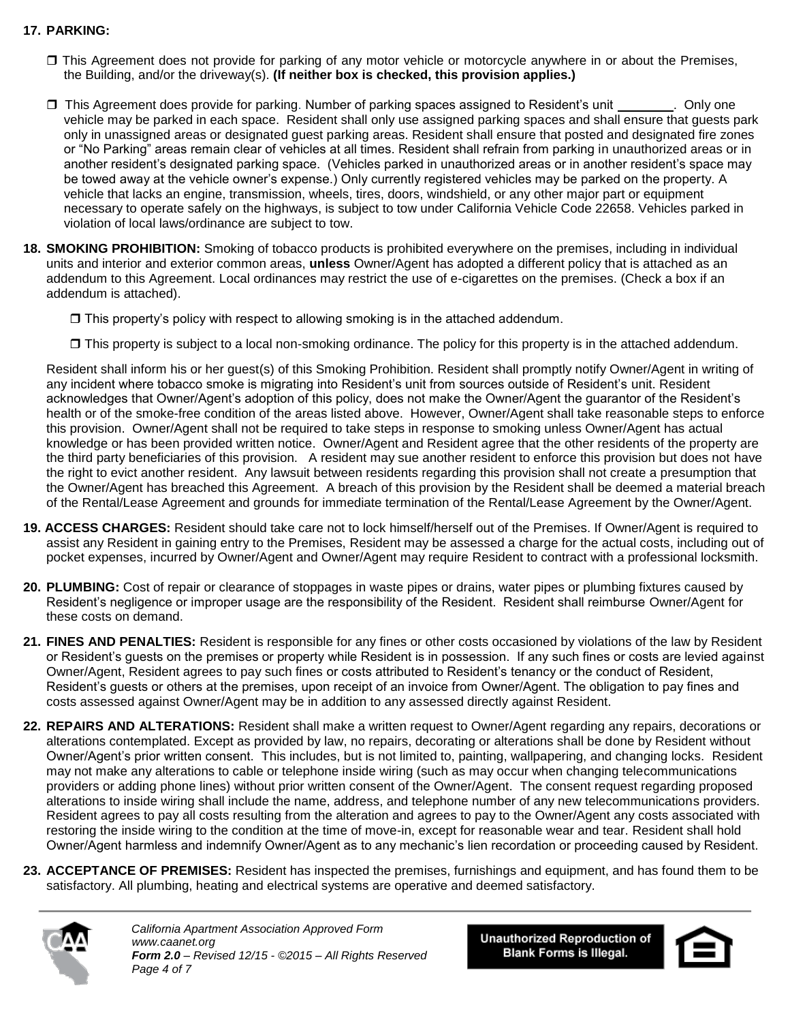## **17. PARKING:**

- This Agreement does not provide for parking of any motor vehicle or motorcycle anywhere in or about the Premises, the Building, and/or the driveway(s). **(If neither box is checked, this provision applies.)**
- $\Box$  This Agreement does provide for parking. Number of parking spaces assigned to Resident's unit . Only one vehicle may be parked in each space. Resident shall only use assigned parking spaces and shall ensure that guests park only in unassigned areas or designated guest parking areas. Resident shall ensure that posted and designated fire zones or "No Parking" areas remain clear of vehicles at all times. Resident shall refrain from parking in unauthorized areas or in another resident's designated parking space. (Vehicles parked in unauthorized areas or in another resident's space may be towed away at the vehicle owner's expense.) Only currently registered vehicles may be parked on the property. A vehicle that lacks an engine, transmission, wheels, tires, doors, windshield, or any other major part or equipment necessary to operate safely on the highways, is subject to tow under California Vehicle Code 22658. Vehicles parked in violation of local laws/ordinance are subject to tow.
- **18. SMOKING PROHIBITION:** Smoking of tobacco products is prohibited everywhere on the premises, including in individual units and interior and exterior common areas, **unless** Owner/Agent has adopted a different policy that is attached as an addendum to this Agreement. Local ordinances may restrict the use of e-cigarettes on the premises. (Check a box if an addendum is attached).
	- $\Box$  This property's policy with respect to allowing smoking is in the attached addendum.
	- This property is subject to a local non-smoking ordinance. The policy for this property is in the attached addendum.

Resident shall inform his or her guest(s) of this Smoking Prohibition. Resident shall promptly notify Owner/Agent in writing of any incident where tobacco smoke is migrating into Resident's unit from sources outside of Resident's unit. Resident acknowledges that Owner/Agent's adoption of this policy, does not make the Owner/Agent the guarantor of the Resident's health or of the smoke-free condition of the areas listed above. However, Owner/Agent shall take reasonable steps to enforce this provision. Owner/Agent shall not be required to take steps in response to smoking unless Owner/Agent has actual knowledge or has been provided written notice.Owner/Agent and Resident agree that the other residents of the property are the third party beneficiaries of this provision. A resident may sue another resident to enforce this provision but does not have the right to evict another resident. Any lawsuit between residents regarding this provision shall not create a presumption that the Owner/Agent has breached this Agreement. A breach of this provision by the Resident shall be deemed a material breach of the Rental/Lease Agreement and grounds for immediate termination of the Rental/Lease Agreement by the Owner/Agent.

- **19. ACCESS CHARGES:** Resident should take care not to lock himself/herself out of the Premises. If Owner/Agent is required to assist any Resident in gaining entry to the Premises, Resident may be assessed a charge for the actual costs, including out of pocket expenses, incurred by Owner/Agent and Owner/Agent may require Resident to contract with a professional locksmith.
- **20. PLUMBING:** Cost of repair or clearance of stoppages in waste pipes or drains, water pipes or plumbing fixtures caused by Resident's negligence or improper usage are the responsibility of the Resident. Resident shall reimburse Owner/Agent for these costs on demand.
- **21. FINES AND PENALTIES:** Resident is responsible for any fines or other costs occasioned by violations of the law by Resident or Resident's guests on the premises or property while Resident is in possession. If any such fines or costs are levied against Owner/Agent, Resident agrees to pay such fines or costs attributed to Resident's tenancy or the conduct of Resident, Resident's guests or others at the premises, upon receipt of an invoice from Owner/Agent. The obligation to pay fines and costs assessed against Owner/Agent may be in addition to any assessed directly against Resident.
- **22. REPAIRS AND ALTERATIONS:** Resident shall make a written request to Owner/Agent regarding any repairs, decorations or alterations contemplated. Except as provided by law, no repairs, decorating or alterations shall be done by Resident without Owner/Agent's prior written consent. This includes, but is not limited to, painting, wallpapering, and changing locks. Resident may not make any alterations to cable or telephone inside wiring (such as may occur when changing telecommunications providers or adding phone lines) without prior written consent of the Owner/Agent. The consent request regarding proposed alterations to inside wiring shall include the name, address, and telephone number of any new telecommunications providers. Resident agrees to pay all costs resulting from the alteration and agrees to pay to the Owner/Agent any costs associated with restoring the inside wiring to the condition at the time of move-in, except for reasonable wear and tear. Resident shall hold Owner/Agent harmless and indemnify Owner/Agent as to any mechanic's lien recordation or proceeding caused by Resident.
- **23. ACCEPTANCE OF PREMISES:** Resident has inspected the premises, furnishings and equipment, and has found them to be satisfactory. All plumbing, heating and electrical systems are operative and deemed satisfactory.



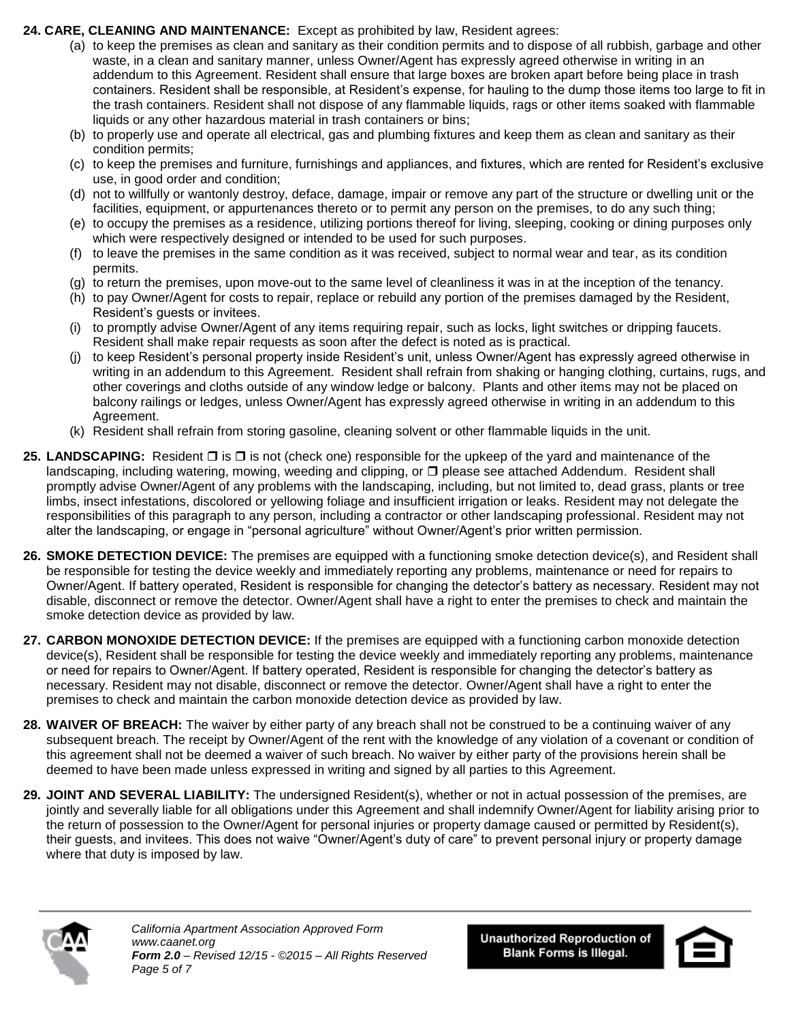## **24. CARE, CLEANING AND MAINTENANCE:** Except as prohibited by law, Resident agrees:

- (a) to keep the premises as clean and sanitary as their condition permits and to dispose of all rubbish, garbage and other waste, in a clean and sanitary manner, unless Owner/Agent has expressly agreed otherwise in writing in an addendum to this Agreement. Resident shall ensure that large boxes are broken apart before being place in trash containers. Resident shall be responsible, at Resident's expense, for hauling to the dump those items too large to fit in the trash containers. Resident shall not dispose of any flammable liquids, rags or other items soaked with flammable liquids or any other hazardous material in trash containers or bins;
- (b) to properly use and operate all electrical, gas and plumbing fixtures and keep them as clean and sanitary as their condition permits;
- (c) to keep the premises and furniture, furnishings and appliances, and fixtures, which are rented for Resident's exclusive use, in good order and condition;
- (d) not to willfully or wantonly destroy, deface, damage, impair or remove any part of the structure or dwelling unit or the facilities, equipment, or appurtenances thereto or to permit any person on the premises, to do any such thing;
- (e) to occupy the premises as a residence, utilizing portions thereof for living, sleeping, cooking or dining purposes only which were respectively designed or intended to be used for such purposes.
- (f) to leave the premises in the same condition as it was received, subject to normal wear and tear, as its condition permits.
- (g) to return the premises, upon move-out to the same level of cleanliness it was in at the inception of the tenancy.
- (h) to pay Owner/Agent for costs to repair, replace or rebuild any portion of the premises damaged by the Resident, Resident's guests or invitees.
- (i) to promptly advise Owner/Agent of any items requiring repair, such as locks, light switches or dripping faucets. Resident shall make repair requests as soon after the defect is noted as is practical.
- (j) to keep Resident's personal property inside Resident's unit, unless Owner/Agent has expressly agreed otherwise in writing in an addendum to this Agreement. Resident shall refrain from shaking or hanging clothing, curtains, rugs, and other coverings and cloths outside of any window ledge or balcony. Plants and other items may not be placed on balcony railings or ledges, unless Owner/Agent has expressly agreed otherwise in writing in an addendum to this Agreement.
- (k) Resident shall refrain from storing gasoline, cleaning solvent or other flammable liquids in the unit.
- **25. LANDSCAPING:** Resident □ is □ is not (check one) responsible for the upkeep of the vard and maintenance of the landscaping, including watering, mowing, weeding and clipping, or  $\Box$  please see attached Addendum. Resident shall promptly advise Owner/Agent of any problems with the landscaping, including, but not limited to, dead grass, plants or tree limbs, insect infestations, discolored or yellowing foliage and insufficient irrigation or leaks. Resident may not delegate the responsibilities of this paragraph to any person, including a contractor or other landscaping professional. Resident may not alter the landscaping, or engage in "personal agriculture" without Owner/Agent's prior written permission.
- **26. SMOKE DETECTION DEVICE:** The premises are equipped with a functioning smoke detection device(s), and Resident shall be responsible for testing the device weekly and immediately reporting any problems, maintenance or need for repairs to Owner/Agent. If battery operated, Resident is responsible for changing the detector's battery as necessary. Resident may not disable, disconnect or remove the detector. Owner/Agent shall have a right to enter the premises to check and maintain the smoke detection device as provided by law.
- **27. CARBON MONOXIDE DETECTION DEVICE:** If the premises are equipped with a functioning carbon monoxide detection device(s), Resident shall be responsible for testing the device weekly and immediately reporting any problems, maintenance or need for repairs to Owner/Agent. If battery operated, Resident is responsible for changing the detector's battery as necessary. Resident may not disable, disconnect or remove the detector. Owner/Agent shall have a right to enter the premises to check and maintain the carbon monoxide detection device as provided by law.
- **28. WAIVER OF BREACH:** The waiver by either party of any breach shall not be construed to be a continuing waiver of any subsequent breach. The receipt by Owner/Agent of the rent with the knowledge of any violation of a covenant or condition of this agreement shall not be deemed a waiver of such breach. No waiver by either party of the provisions herein shall be deemed to have been made unless expressed in writing and signed by all parties to this Agreement.
- **29. JOINT AND SEVERAL LIABILITY:** The undersigned Resident(s), whether or not in actual possession of the premises, are jointly and severally liable for all obligations under this Agreement and shall indemnify Owner/Agent for liability arising prior to the return of possession to the Owner/Agent for personal injuries or property damage caused or permitted by Resident(s), their guests, and invitees. This does not waive "Owner/Agent's duty of care" to prevent personal injury or property damage where that duty is imposed by law.



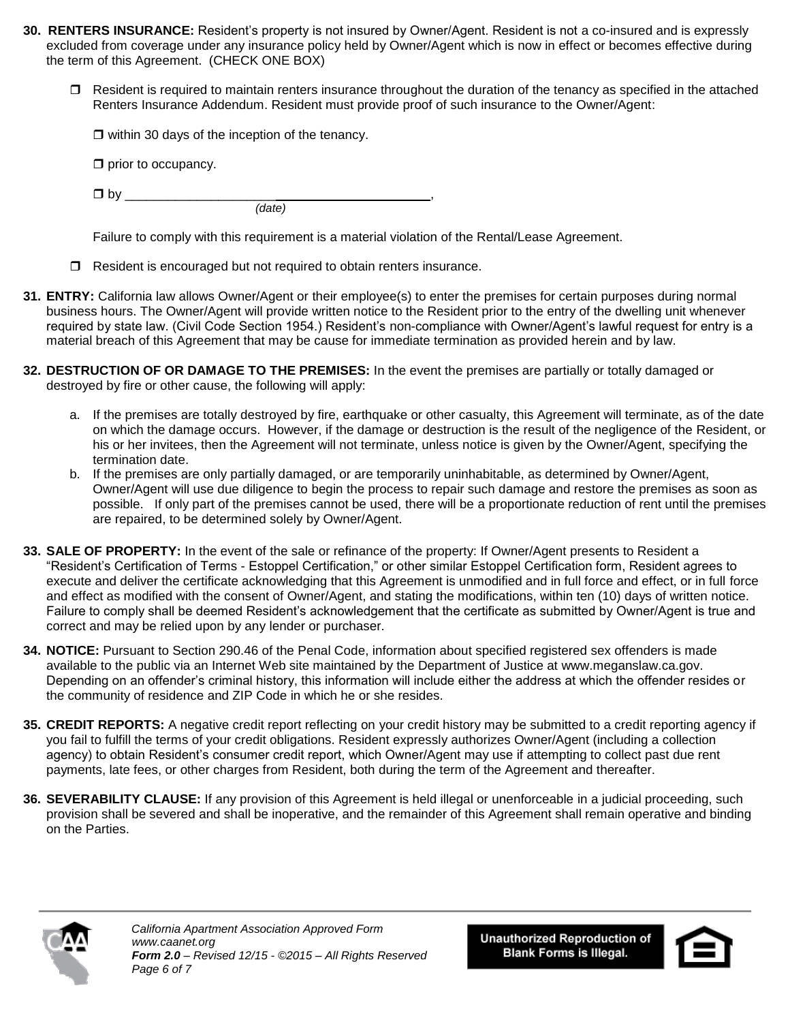- **30. RENTERS INSURANCE:** Resident's property is not insured by Owner/Agent. Resident is not a co-insured and is expressly excluded from coverage under any insurance policy held by Owner/Agent which is now in effect or becomes effective during the term of this Agreement. (CHECK ONE BOX)
	- $\Box$  Resident is required to maintain renters insurance throughout the duration of the tenancy as specified in the attached Renters Insurance Addendum. Resident must provide proof of such insurance to the Owner/Agent:

 $\Box$  within 30 days of the inception of the tenancy.

 $\square$  prior to occupancy.

 $\Box$  by *(date)* 

Failure to comply with this requirement is a material violation of the Rental/Lease Agreement.

- $\Box$  Resident is encouraged but not required to obtain renters insurance.
- **31. ENTRY:** California law allows Owner/Agent or their employee(s) to enter the premises for certain purposes during normal business hours. The Owner/Agent will provide written notice to the Resident prior to the entry of the dwelling unit whenever required by state law. (Civil Code Section 1954.) Resident's non-compliance with Owner/Agent's lawful request for entry is a material breach of this Agreement that may be cause for immediate termination as provided herein and by law.
- **32. DESTRUCTION OF OR DAMAGE TO THE PREMISES:** In the event the premises are partially or totally damaged or destroyed by fire or other cause, the following will apply:
	- a. If the premises are totally destroyed by fire, earthquake or other casualty, this Agreement will terminate, as of the date on which the damage occurs. However, if the damage or destruction is the result of the negligence of the Resident, or his or her invitees, then the Agreement will not terminate, unless notice is given by the Owner/Agent, specifying the termination date.
	- b. If the premises are only partially damaged, or are temporarily uninhabitable, as determined by Owner/Agent, Owner/Agent will use due diligence to begin the process to repair such damage and restore the premises as soon as possible. If only part of the premises cannot be used, there will be a proportionate reduction of rent until the premises are repaired, to be determined solely by Owner/Agent.
- **33. SALE OF PROPERTY:** In the event of the sale or refinance of the property: If Owner/Agent presents to Resident a "Resident's Certification of Terms - Estoppel Certification," or other similar Estoppel Certification form, Resident agrees to execute and deliver the certificate acknowledging that this Agreement is unmodified and in full force and effect, or in full force and effect as modified with the consent of Owner/Agent, and stating the modifications, within ten (10) days of written notice. Failure to comply shall be deemed Resident's acknowledgement that the certificate as submitted by Owner/Agent is true and correct and may be relied upon by any lender or purchaser.
- **34. NOTICE:** Pursuant to Section 290.46 of the Penal Code, information about specified registered sex offenders is made available to the public via an Internet Web site maintained by the Department of Justice at www.meganslaw.ca.gov. Depending on an offender's criminal history, this information will include either the address at which the offender resides or the community of residence and ZIP Code in which he or she resides.
- **35. CREDIT REPORTS:** A negative credit report reflecting on your credit history may be submitted to a credit reporting agency if you fail to fulfill the terms of your credit obligations. Resident expressly authorizes Owner/Agent (including a collection agency) to obtain Resident's consumer credit report, which Owner/Agent may use if attempting to collect past due rent payments, late fees, or other charges from Resident, both during the term of the Agreement and thereafter.
- **36. SEVERABILITY CLAUSE:** If any provision of this Agreement is held illegal or unenforceable in a judicial proceeding, such provision shall be severed and shall be inoperative, and the remainder of this Agreement shall remain operative and binding on the Parties.